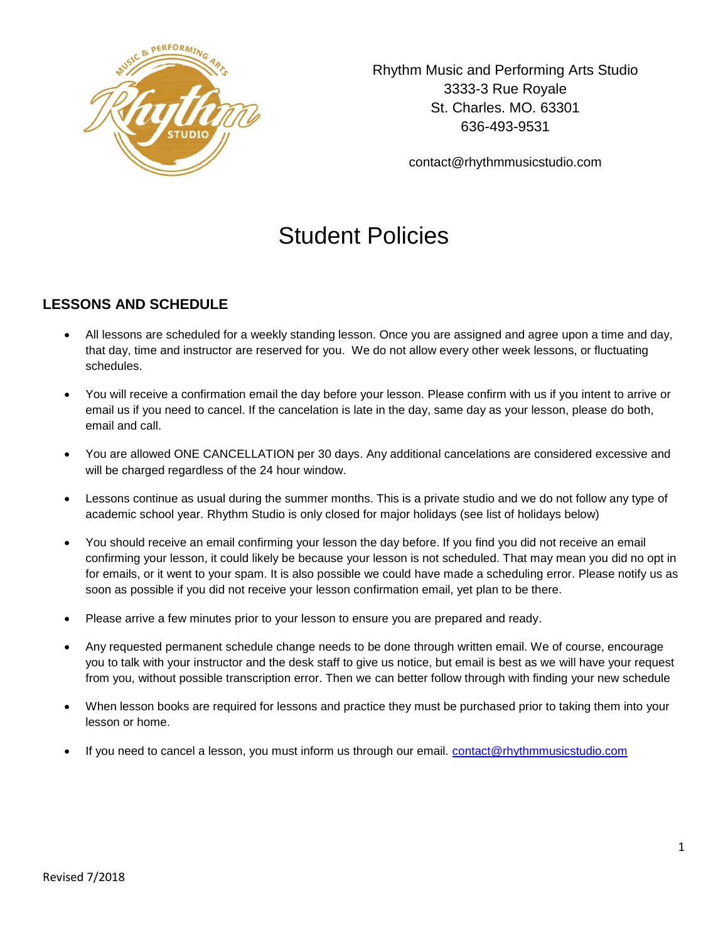

Rhythm Music and Performing Arts Studio 3333-3 Rue Royale St. Charles. MO. 63301 636-493-9531

contact@rhythmmusicstudio.com

# Student Policies

# **LESSONS AND SCHEDULE**

- All lessons are scheduled for a weekly standing lesson. Once you are assigned and agree upon a time and day, that day, time and instructor are reserved for you. We do not allow every other week lessons, or fluctuating schedules.
- You will receive a confirmation email the day before your lesson. Please confirm with us if you intent to arrive or email us if you need to cancel. If the cancelation is late in the day, same day as your lesson, please do both, email and call.
- You are allowed ONE CANCELLATION per 30 days. Any additional cancelations are considered excessive and will be charged regardless of the 24 hour window.
- Lessons continue as usual during the summer months. This is a private studio and we do not follow any type of academic school year. Rhythm Studio is only closed for major holidays (see list of holidays below)
- You should receive an email confirming your lesson the day before. If you find you did not receive an email confirming your lesson, it could likely be because your lesson is not scheduled. That may mean you did no opt in for emails, or it went to your spam. It is also possible we could have made a scheduling error. Please notify us as soon as possible if you did not receive your lesson confirmation email, yet plan to be there.
- Please arrive a few minutes prior to your lesson to ensure you are prepared and ready.
- Any requested permanent schedule change needs to be done through written email. We of course, encourage you to talk with your instructor and the desk staff to give us notice, but email is best as we will have your request from you, without possible transcription error. Then we can better follow through with finding your new schedule
- When lesson books are required for lessons and practice they must be purchased prior to taking them into your lesson or home.
- If you need to cancel a lesson, you must inform us through our email. [contact@rhythmmusicstudio.com](mailto:contact@rhythmmusicstudio.com)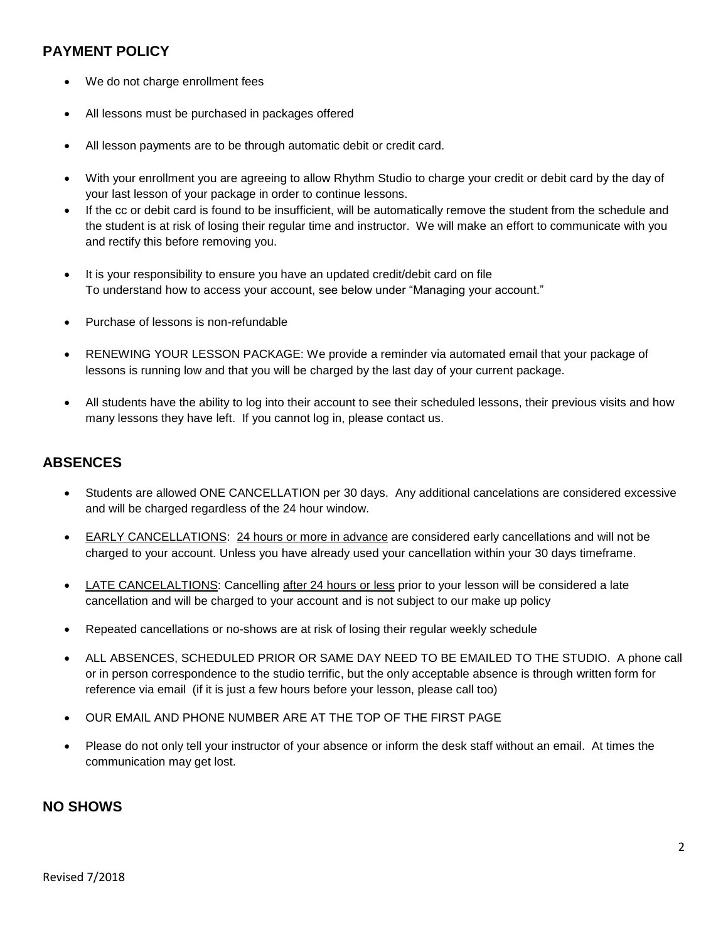# **PAYMENT POLICY**

- We do not charge enrollment fees
- All lessons must be purchased in packages offered
- All lesson payments are to be through automatic debit or credit card.
- With your enrollment you are agreeing to allow Rhythm Studio to charge your credit or debit card by the day of your last lesson of your package in order to continue lessons.
- If the cc or debit card is found to be insufficient, will be automatically remove the student from the schedule and the student is at risk of losing their regular time and instructor. We will make an effort to communicate with you and rectify this before removing you.
- It is your responsibility to ensure you have an updated credit/debit card on file To understand how to access your account, see below under "Managing your account."
- Purchase of lessons is non-refundable
- RENEWING YOUR LESSON PACKAGE: We provide a reminder via automated email that your package of lessons is running low and that you will be charged by the last day of your current package.
- All students have the ability to log into their account to see their scheduled lessons, their previous visits and how many lessons they have left. If you cannot log in, please contact us.

## **ABSENCES**

- Students are allowed ONE CANCELLATION per 30 days. Any additional cancelations are considered excessive and will be charged regardless of the 24 hour window.
- EARLY CANCELLATIONS: 24 hours or more in advance are considered early cancellations and will not be charged to your account. Unless you have already used your cancellation within your 30 days timeframe.
- LATE CANCELALTIONS: Cancelling after 24 hours or less prior to your lesson will be considered a late cancellation and will be charged to your account and is not subject to our make up policy
- Repeated cancellations or no-shows are at risk of losing their regular weekly schedule
- ALL ABSENCES, SCHEDULED PRIOR OR SAME DAY NEED TO BE EMAILED TO THE STUDIO. A phone call or in person correspondence to the studio terrific, but the only acceptable absence is through written form for reference via email (if it is just a few hours before your lesson, please call too)
- OUR EMAIL AND PHONE NUMBER ARE AT THE TOP OF THE FIRST PAGE
- Please do not only tell your instructor of your absence or inform the desk staff without an email. At times the communication may get lost.

## **NO SHOWS**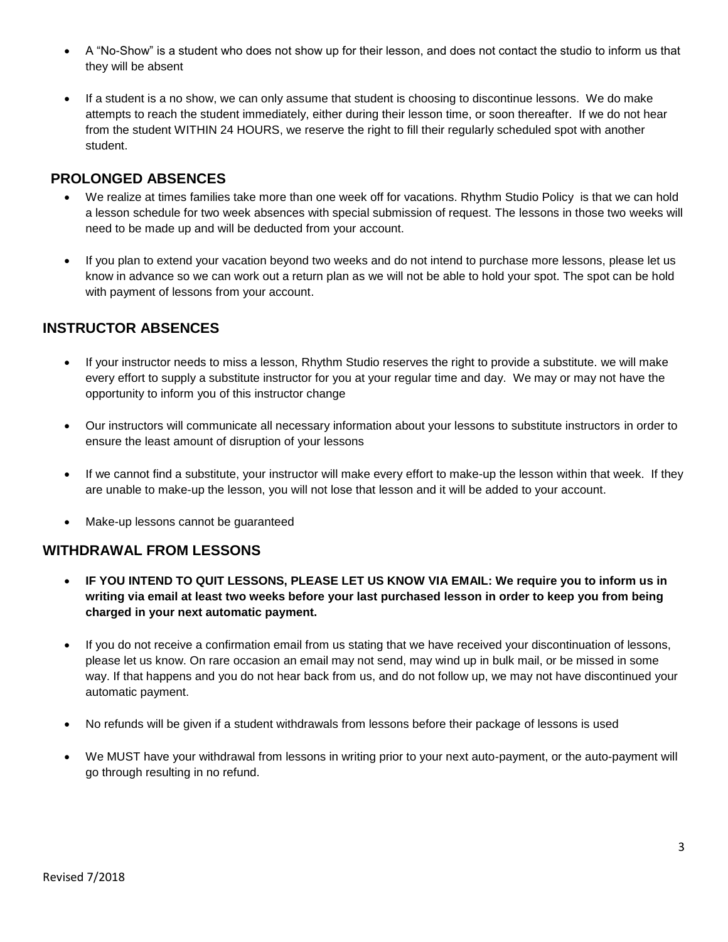- A "No-Show" is a student who does not show up for their lesson, and does not contact the studio to inform us that they will be absent
- If a student is a no show, we can only assume that student is choosing to discontinue lessons. We do make attempts to reach the student immediately, either during their lesson time, or soon thereafter. If we do not hear from the student WITHIN 24 HOURS, we reserve the right to fill their regularly scheduled spot with another student.

## **PROLONGED ABSENCES**

- We realize at times families take more than one week off for vacations. Rhythm Studio Policy is that we can hold a lesson schedule for two week absences with special submission of request. The lessons in those two weeks will need to be made up and will be deducted from your account.
- If you plan to extend your vacation beyond two weeks and do not intend to purchase more lessons, please let us know in advance so we can work out a return plan as we will not be able to hold your spot. The spot can be hold with payment of lessons from your account.

# **INSTRUCTOR ABSENCES**

- If your instructor needs to miss a lesson, Rhythm Studio reserves the right to provide a substitute. we will make every effort to supply a substitute instructor for you at your regular time and day. We may or may not have the opportunity to inform you of this instructor change
- Our instructors will communicate all necessary information about your lessons to substitute instructors in order to ensure the least amount of disruption of your lessons
- If we cannot find a substitute, your instructor will make every effort to make-up the lesson within that week. If they are unable to make-up the lesson, you will not lose that lesson and it will be added to your account.
- Make-up lessons cannot be guaranteed

## **WITHDRAWAL FROM LESSONS**

- **IF YOU INTEND TO QUIT LESSONS, PLEASE LET US KNOW VIA EMAIL: We require you to inform us in writing via email at least two weeks before your last purchased lesson in order to keep you from being charged in your next automatic payment.**
- If you do not receive a confirmation email from us stating that we have received your discontinuation of lessons, please let us know. On rare occasion an email may not send, may wind up in bulk mail, or be missed in some way. If that happens and you do not hear back from us, and do not follow up, we may not have discontinued your automatic payment.
- No refunds will be given if a student withdrawals from lessons before their package of lessons is used
- We MUST have your withdrawal from lessons in writing prior to your next auto-payment, or the auto-payment will go through resulting in no refund.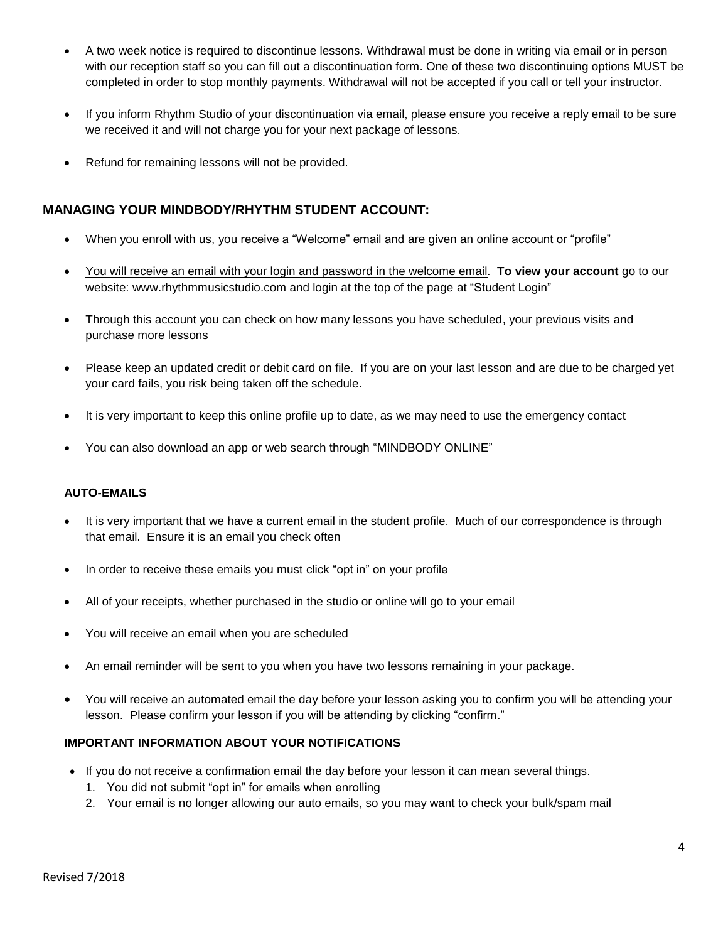- A two week notice is required to discontinue lessons. Withdrawal must be done in writing via email or in person with our reception staff so you can fill out a discontinuation form. One of these two discontinuing options MUST be completed in order to stop monthly payments. Withdrawal will not be accepted if you call or tell your instructor.
- If you inform Rhythm Studio of your discontinuation via email, please ensure you receive a reply email to be sure we received it and will not charge you for your next package of lessons.
- Refund for remaining lessons will not be provided.

### **MANAGING YOUR MINDBODY/RHYTHM STUDENT ACCOUNT:**

- When you enroll with us, you receive a "Welcome" email and are given an online account or "profile"
- You will receive an email with your login and password in the welcome email. **To view your account** go to our website: www.rhythmmusicstudio.com and login at the top of the page at "Student Login"
- Through this account you can check on how many lessons you have scheduled, your previous visits and purchase more lessons
- Please keep an updated credit or debit card on file. If you are on your last lesson and are due to be charged yet your card fails, you risk being taken off the schedule.
- It is very important to keep this online profile up to date, as we may need to use the emergency contact
- You can also download an app or web search through "MINDBODY ONLINE"

#### **AUTO-EMAILS**

- It is very important that we have a current email in the student profile. Much of our correspondence is through that email. Ensure it is an email you check often
- In order to receive these emails you must click "opt in" on your profile
- All of your receipts, whether purchased in the studio or online will go to your email
- You will receive an email when you are scheduled
- An email reminder will be sent to you when you have two lessons remaining in your package.
- You will receive an automated email the day before your lesson asking you to confirm you will be attending your lesson. Please confirm your lesson if you will be attending by clicking "confirm."

#### **IMPORTANT INFORMATION ABOUT YOUR NOTIFICATIONS**

- If you do not receive a confirmation email the day before your lesson it can mean several things.
	- 1. You did not submit "opt in" for emails when enrolling
	- 2. Your email is no longer allowing our auto emails, so you may want to check your bulk/spam mail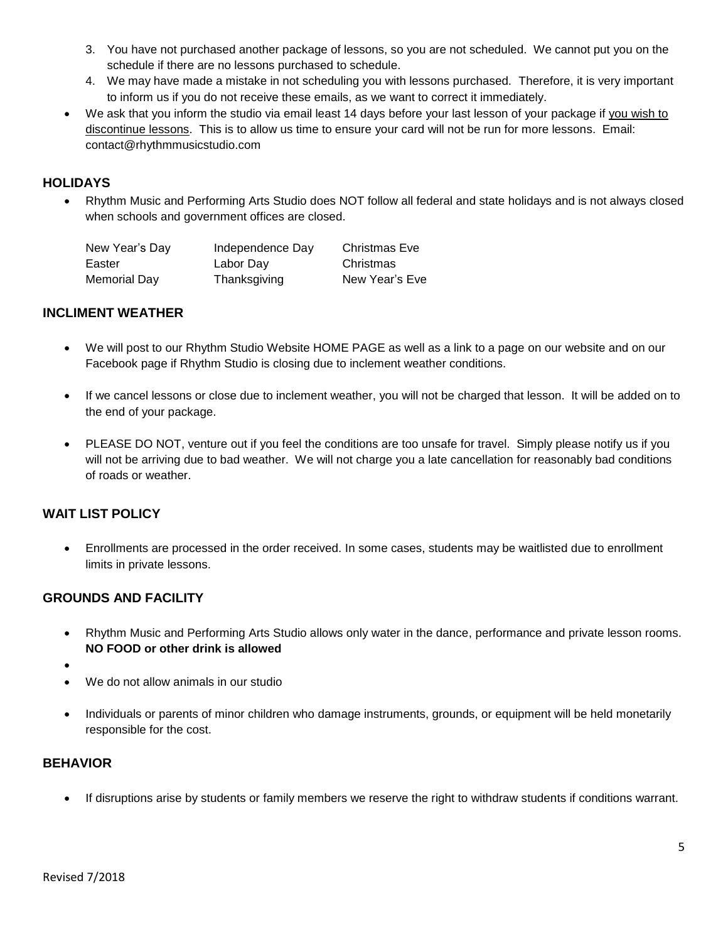- 3. You have not purchased another package of lessons, so you are not scheduled. We cannot put you on the schedule if there are no lessons purchased to schedule.
- 4. We may have made a mistake in not scheduling you with lessons purchased. Therefore, it is very important to inform us if you do not receive these emails, as we want to correct it immediately.
- We ask that you inform the studio via email least 14 days before your last lesson of your package if you wish to discontinue lessons. This is to allow us time to ensure your card will not be run for more lessons. Email: contact@rhythmmusicstudio.com

#### **HOLIDAYS**

 Rhythm Music and Performing Arts Studio does NOT follow all federal and state holidays and is not always closed when schools and government offices are closed.

| New Year's Day | Independence Day | <b>Christmas Eve</b> |
|----------------|------------------|----------------------|
| Easter         | Labor Day        | Christmas            |
| Memorial Day   | Thanksgiving     | New Year's Eve       |

#### **INCLIMENT WEATHER**

- We will post to our Rhythm Studio Website HOME PAGE as well as a link to a page on our website and on our Facebook page if Rhythm Studio is closing due to inclement weather conditions.
- If we cancel lessons or close due to inclement weather, you will not be charged that lesson. It will be added on to the end of your package.
- PLEASE DO NOT, venture out if you feel the conditions are too unsafe for travel. Simply please notify us if you will not be arriving due to bad weather. We will not charge you a late cancellation for reasonably bad conditions of roads or weather.

#### **WAIT LIST POLICY**

 Enrollments are processed in the order received. In some cases, students may be waitlisted due to enrollment limits in private lessons.

#### **GROUNDS AND FACILITY**

- Rhythm Music and Performing Arts Studio allows only water in the dance, performance and private lesson rooms. **NO FOOD or other drink is allowed**
- $\bullet$
- We do not allow animals in our studio
- Individuals or parents of minor children who damage instruments, grounds, or equipment will be held monetarily responsible for the cost.

#### **BEHAVIOR**

If disruptions arise by students or family members we reserve the right to withdraw students if conditions warrant.